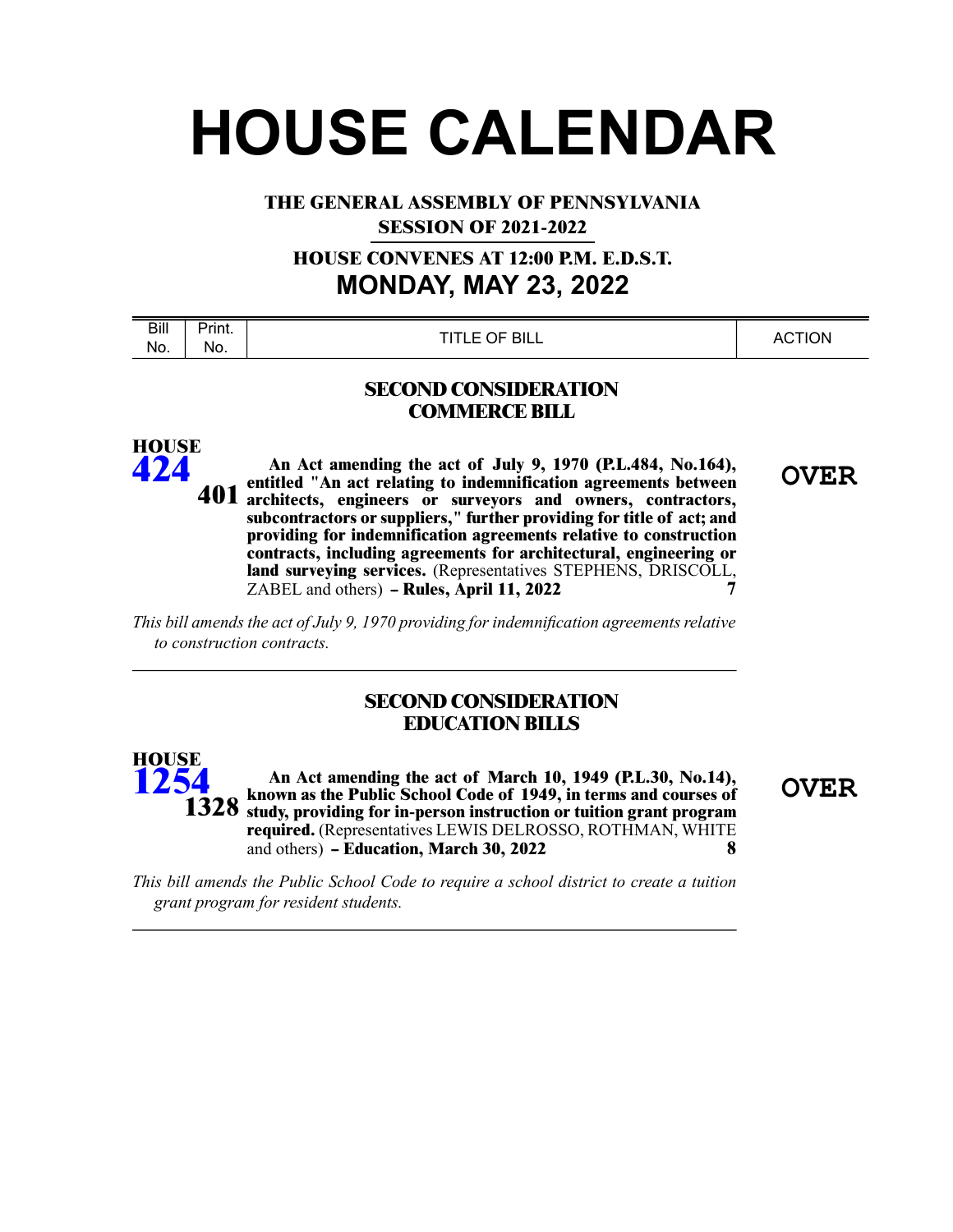# **HOUSE CALENDAR**

**THE GENERAL ASSEMBLY OF PENNSYLVANIA SESSION OF 2021-2022**

**HOUSE CONVENES AT 12:00 P.M. E.D.S.T. MONDAY, MAY 23, 2022**

| Bill | $P$ rint. | OF BILL      | <b>`TION</b> |
|------|-----------|--------------|--------------|
| No.  | No.       | <b>TITLE</b> | - AC         |
|      |           |              |              |

#### **SECOND CONSIDERATION COMMERCE BILL**

An Act amending the act of July 9, 1970 (P.L.484, No.164), **OVER**<br>entitled "An act relating to indemnification agreements between **architects, engineers or surveyors and owners, contractors, subcontractors or suppliers," further providing for title of act; and providing for indemnification agreements relative to construction contracts, including agreements for architectural, engineering or land surveying services.** (Representatives STEPHENS, DRISCOLL,  $7 \triangle BFI$  and others) **- Rules Anril 11 2022** ZABEL and others) **-- Rules, April 11, 2022 7 401**

*This bill amends the act of July 9, 1970 providing for indemnification agreements relative to construction contracts.*

**HOUSE [424](/cfdocs/billinfo/billinfo.cfm?syear=2021&sind=0&body=H&type=B&bn=424)**

## **SECOND CONSIDERATION EDUCATION BILLS**

**OVER An Act amending the act of March 10, 1949 (P.L.30, No.14), known as the Public School Code of 1949, in terms and courses of 1328** study, providing for in-person instruction or tuition grant program **required.** (Representatives LEWIS DELROSSO, ROTHMAN, WHITE and others) **-- Education, March 30, 2022 8 HOUSE [1254](/cfdocs/billinfo/billinfo.cfm?syear=2021&sind=0&body=H&type=B&bn=1254)**

*This bill amends the Public School Code to require a school district to create a tuition grant program for resident students.*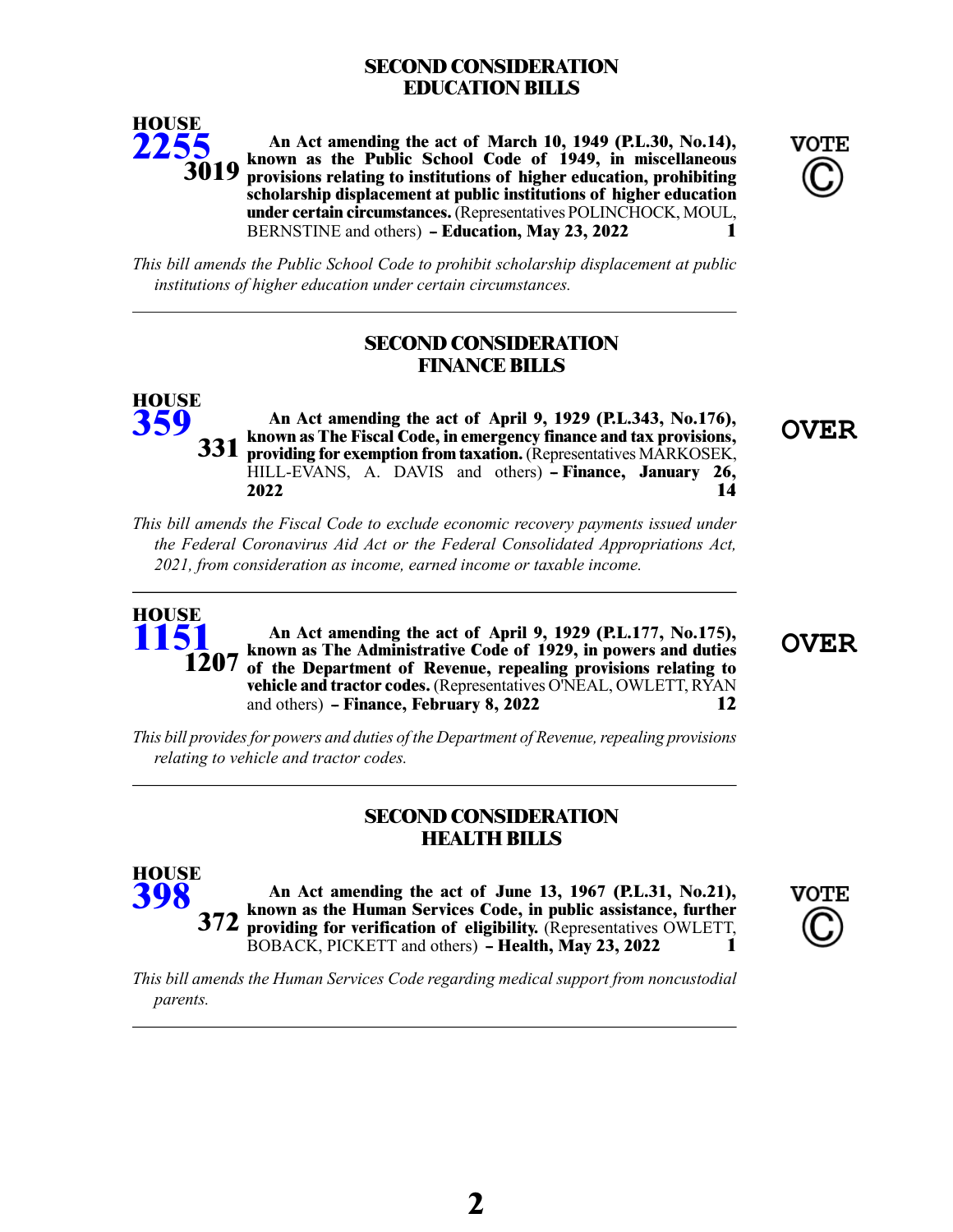# **SECOND CONSIDERATION EDUCATION BILLS**



**An Act amending the act of March 10, 1949 (P.L.30, No.14), known as the Public School Code of 1949, in miscellaneous provisions relating to institutions of higher education, prohibiting scholarship displacement at public institutions of higher education under certain circumstances.**(Representatives POLINCHOCK, MOUL, BERNSTINE and others) **- Education, May 23, 2022** 1



*This bill amends the Public School Code to prohibit scholarship displacement at public institutions of higher education under certain circumstances.*

# **SECOND CONSIDERATION FINANCE BILLS**

**HOUSE [359](/cfdocs/billinfo/billinfo.cfm?syear=2021&sind=0&body=H&type=B&bn=359)**

**OVER An Act amending the act of April 9, 1929 (P.L.343, No.176), known as The Fiscal Code, in emergency finance and tax provisions, providing for exemption from taxation.**(Representatives MARKOSEK, HILL-EVANS, A. DAVIS and others) **- Finance, January 26, 2022 14 331**

*This bill amends the Fiscal Code to exclude economic recovery payments issued under the Federal Coronavirus Aid Act or the Federal Consolidated Appropriations Act, 2021, from consideration as income, earned income or taxable income.*



**HOUSE [398](/cfdocs/billinfo/billinfo.cfm?syear=2021&sind=0&body=H&type=B&bn=398)**

**OVER An Act amending the act of April 9, 1929 (P.L.177, No.175), known as The Administrative Code of 1929, in powers and duties 1207** of the Department of Revenue, repealing provisions relating to **vehicle and tractor codes.** (Representatives O'NEAL, OWLETT, RYAN and others) **-- Finance, February 8, 2022 12**

*This bill providesfor powers and duties of the Department of Revenue,repealing provisions relating to vehicle and tractor codes.*

### **SECOND CONSIDERATION HEALTH BILLS**

**An Act amending the act of June 13, 1967 (P.L.31, No.21), known as the Human Services Code, in public assistance, further 372 providing for verification of eligibility.** (Representatives OWLETT, BOBACK, PICKETT and others) **- Health, May 23, 2022** 1



*This bill amends the Human Services Code regarding medical support from noncustodial parents.*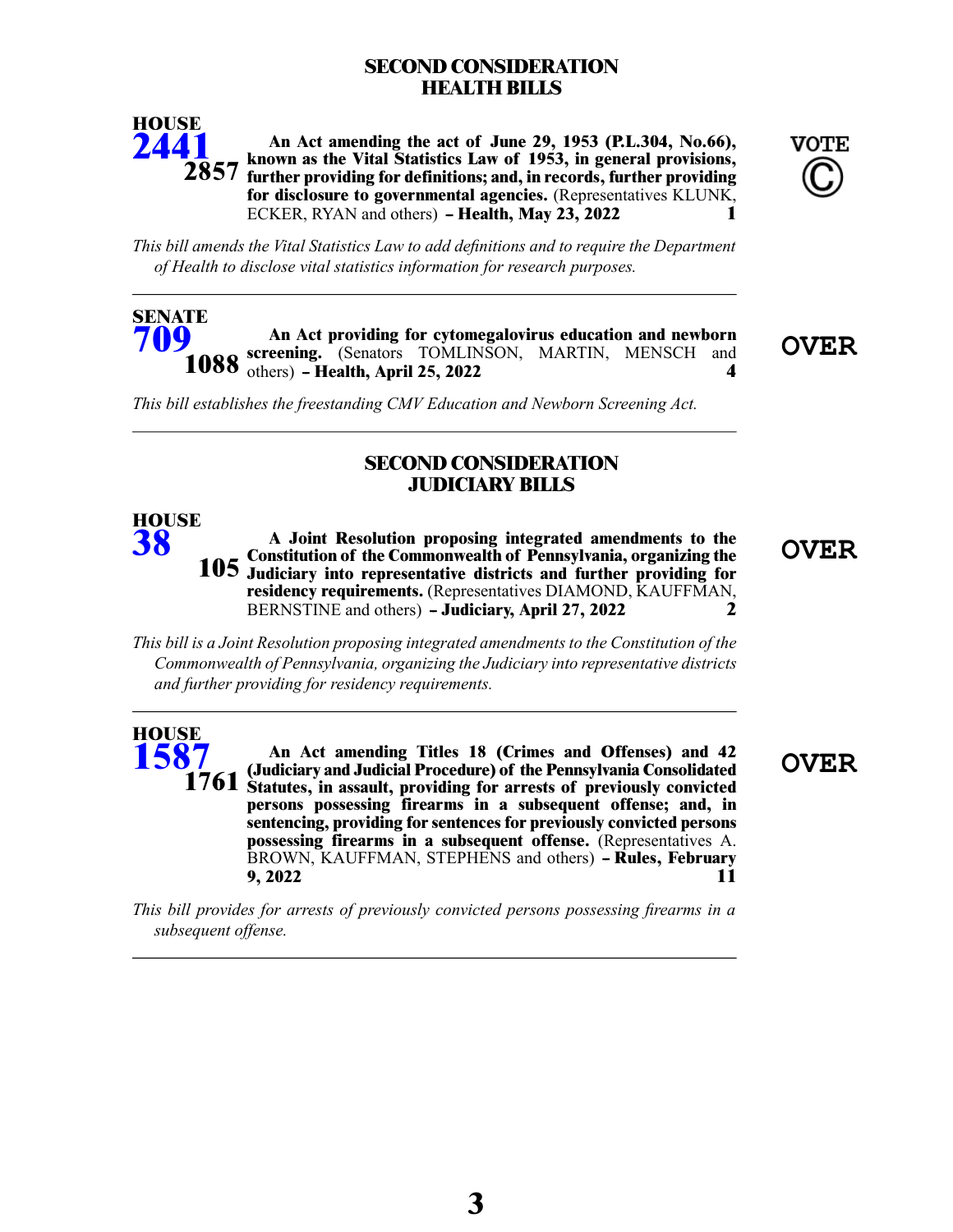# **SECOND CONSIDERATION HEALTH BILLS**



**[709](/cfdocs/billinfo/billinfo.cfm?syear=2021&sind=0&body=S&type=B&bn=709)**

**HOUSE [38](/cfdocs/billinfo/billinfo.cfm?syear=2021&sind=0&body=H&type=B&bn=38)**

**An Act amending the act of June 29, 1953 (P.L.304, No.66), known as the Vital Statistics Law of 1953, in general provisions, further providing for definitions; and, in records, further providing for disclosure to governmental agencies.** (Representatives KLUNK, **ECKER, RYAN and others) - Health, May 23, 2022** 1 **2857**



*This bill amends the Vital Statistics Law to add definitions and to require the Department of Health to disclose vital statistics information for research purposes.*

An Act providing for cytomegalovirus education and newborn<br> **Screening.** (Senators TOMLINSON, MARTIN, MENSCH and **OVER 1088** others) – Health, April 25, 2022 4 **SENATE**

*This bill establishes the freestanding CMV Education and Newborn Screening Act.*

#### **SECOND CONSIDERATION JUDICIARY BILLS**

**OVER A Joint Resolution proposing integrated amendments to the Constitution of the Commonwealth of Pennsylvania, organizing the Judiciary into representative districts and further providing for 105 residency requirements.** (Representatives DIAMOND, KAUFFMAN, BERNSTINE and others) **-- Judiciary, April 27, 2022 2**

*This bill is a Joint Resolution proposing integrated amendments to the Constitution of the Commonwealth of Pennsylvania, organizing the Judiciary into representative districts and further providing for residency requirements.*

#### **HOUSE [1587](/cfdocs/billinfo/billinfo.cfm?syear=2021&sind=0&body=H&type=B&bn=1587)**

**OVER An Act amending Titles 18 (Crimes and Offenses) and 42 (Judiciary and Judicial Procedure) of the Pennsylvania Consolidated Statutes, in assault, providing for arrests of previously convicted persons possessing firearms in a subsequent offense; and, in sentencing, providing for sentences for previously convicted persons possessing firearms in a subsequent offense.** (Representatives A. BROWN, KAUFFMAN, STEPHENS and others) **- Rules, February 9, 2022 11**

*This bill provides for arrests of previously convicted persons possessing firearms in a subsequent offense.*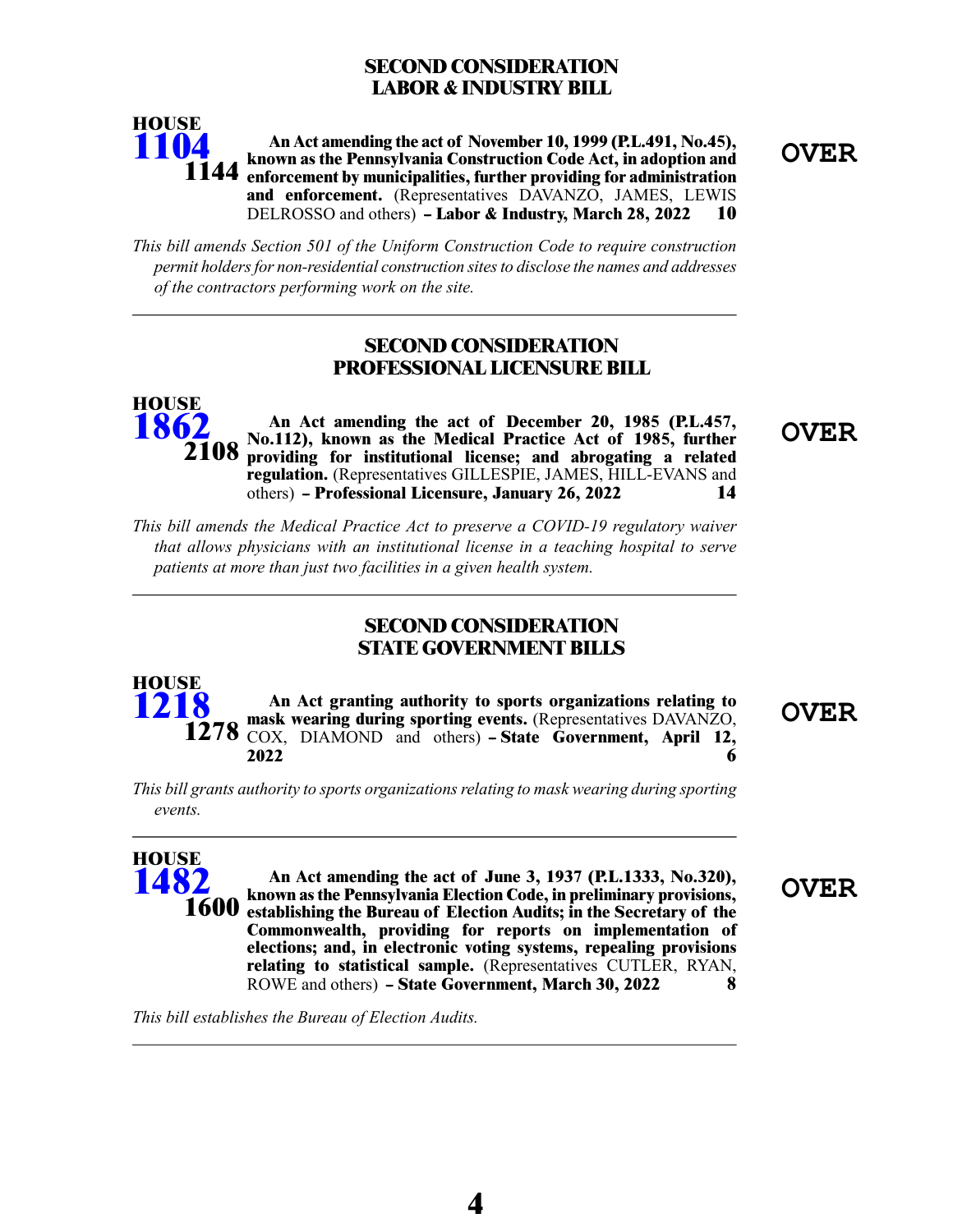# **SECOND CONSIDERATION LABOR & INDUSTRY BILL**



**OVER An Act amending the act of November 10, 1999 (P.L.491, No.45), known as the Pennsylvania Construction Code Act, in adoption and enforcement by municipalities, further providing for administration and enforcement.** (Representatives DAVANZO, JAMES, LEWIS DELROSSO and others) **- Labor & Industry, March 28, 2022 10** 

*This bill amends Section 501 of the Uniform Construction Code to require construction permit holdersfor non-residential construction sitesto disclose the names and addresses of the contractors performing work on the site.*

#### **SECOND CONSIDERATION PROFESSIONAL LICENSURE BILL**

**OVER An Act amending the act of December 20, 1985 (P.L.457, No.112), known as the Medical Practice Act of 1985, further providing for institutional license; and abrogating a related regulation.** (Representatives GILLESPIE, JAMES, HILL-EVANS and others) **-- Professional Licensure, January 26, 2022 14 HOUSE [1862](/cfdocs/billinfo/billinfo.cfm?syear=2021&sind=0&body=H&type=B&bn=1862) 2108**

*This bill amends the Medical Practice Act to preserve a COVID-19 regulatory waiver that allows physicians with an institutional license in a teaching hospital to serve patients at more than just two facilities in a given health system.*

#### **SECOND CONSIDERATION STATE GOVERNMENT BILLS**

**OVER An Act granting authority to sports organizations relating to mask wearing during sporting events.** (Representatives DAVANZO, COX, DIAMOND and others) - State Government, April 12, **2022 6 HOUSE [1218](/cfdocs/billinfo/billinfo.cfm?syear=2021&sind=0&body=H&type=B&bn=1218) 1278**

*This bill grants authority to sports organizations relating to mask wearing during sporting events.*

**OVER An Act amending the act of June 3, 1937 (P.L.1333, No.320), known as the Pennsylvania Election Code, in preliminary provisions, establishing the Bureau of Election Audits; in the Secretary of the Commonwealth, providing for reports on implementation of elections; and, in electronic voting systems, repealing provisions relating to statistical sample.** (Representatives CUTLER, RYAN, ROWE and others) **- State Government, March 30, 2022** 8 **HOUSE [1482](/cfdocs/billinfo/billinfo.cfm?syear=2021&sind=0&body=H&type=B&bn=1482) 1600**

*This bill establishes the Bureau of Election Audits.*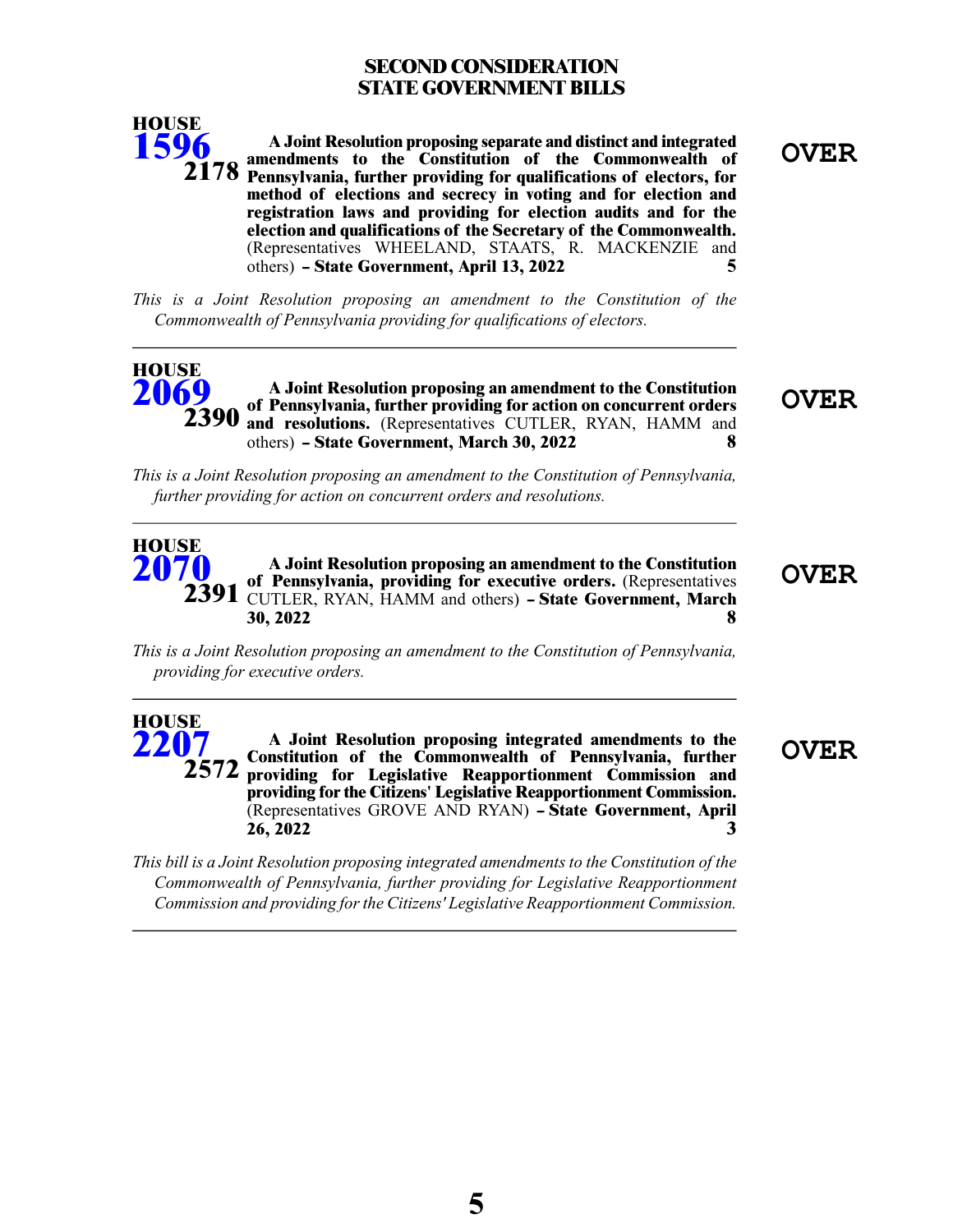# **SECOND CONSIDERATION STATE GOVERNMENT BILLS**



**OVER A Joint Resolution proposing separate and distinct and integrated amendments to the Constitution of the Commonwealth of Pennsylvania, further providing for qualifications of electors, for 2178 method of elections and secrecy in voting and for election and registration laws and providing for election audits and for the election and qualifications of the Secretary of the Commonwealth.** (Representatives WHEELAND, STAATS, R. MACKENZIE and others) **-- State Government, April 13, 2022 5**

*This is a Joint Resolution proposing an amendment to the Constitution of the Commonwealth of Pennsylvania providing for qualifications of electors.*

#### **OVER A Joint Resolution proposing an amendment to the Constitution of Pennsylvania, further providing for action on concurrent orders and resolutions.** (Representatives CUTLER, RYAN, HAMM and others) **-- State Government, March 30, 2022 8 HOUSE [2069](/cfdocs/billinfo/billinfo.cfm?syear=2021&sind=0&body=H&type=B&bn=2069) 2390**

*This is a Joint Resolution proposing an amendment to the Constitution of Pennsylvania, further providing for action on concurrent orders and resolutions.*

#### **OVER A Joint Resolution proposing an amendment to the Constitution of Pennsylvania, providing for executive orders.** (Representatives CUTLER, RYAN, HAMM and others) **-- State Government, March 30, 2022 8 HOUSE [2070](/cfdocs/billinfo/billinfo.cfm?syear=2021&sind=0&body=H&type=B&bn=2070) 2391**

*This is a Joint Resolution proposing an amendment to the Constitution of Pennsylvania, providing for executive orders.*

**OVER A Joint Resolution proposing integrated amendments to the Constitution of the Commonwealth of Pennsylvania, further providing for Legislative Reapportionment Commission and providing for the Citizens' Legislative Reapportionment Commission.** (Representatives GROVE AND RYAN) - State Government, April **26, 2022 3 HOUSE [2207](/cfdocs/billinfo/billinfo.cfm?syear=2021&sind=0&body=H&type=B&bn=2207) 2572**

*This bill is a Joint Resolution proposing integrated amendments to the Constitution of the Commonwealth of Pennsylvania, further providing for Legislative Reapportionment Commission and providing forthe Citizens' Legislative Reapportionment Commission.*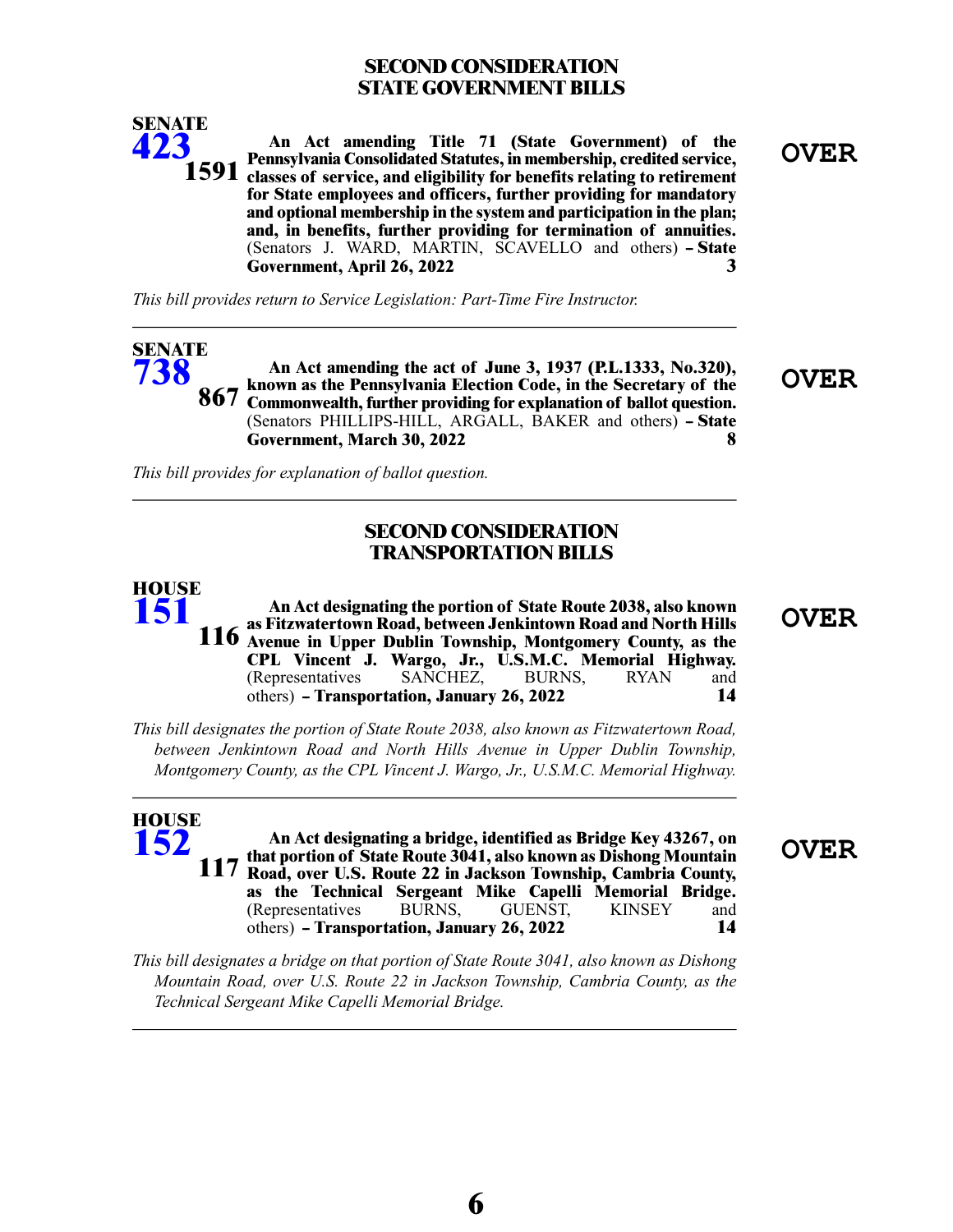# **SECOND CONSIDERATION STATE GOVERNMENT BILLS**



**OVER An Act amending Title 71 (State Government) of the Pennsylvania Consolidated Statutes, in membership, credited service, 1591** classes of service, and eligibility for benefits relating to retirement **for State employees and officers, further providing for mandatory and optional membership in the system and participation in the plan; and, in benefits, further providing for termination of annuities.** (Senators J. WARD, MARTIN, SCAVELLO and others) - State **Government, April 26, 2022 3**

*This bill provides return to Service Legislation: Part-Time Fire Instructor.*

#### An Act amending the act of June 3, 1937 (P.L.1333, No.320),<br> **OVER** own as the Pennsylvania Election Code, in the Secretary of the **OVER known as the Pennsylvania Election Code, in the Secretary of the** 867 Commonwealth, further providing for explanation of ballot question. (Senators PHILLIPS-HILL, ARGALL, BAKER and others) - State **Government, March 30, 2022 8 SENATE [738](/cfdocs/billinfo/billinfo.cfm?syear=2021&sind=0&body=S&type=B&bn=738)**

*This bill provides for explanation of ballot question.*

#### **SECOND CONSIDERATION TRANSPORTATION BILLS**

**OVER An Act designating the portion of State Route 2038, also known as Fitzwatertown Road, between Jenkintown Road and North Hills Avenue in Upper Dublin Township, Montgomery County, as the 116 CPL Vincent J. Wargo, Jr., U.S.M.C. Memorial Highway.** (Representatives SANCHEZ, BURNS, RYAN and others) **-- Transportation, January 26, 2022 14 HOUSE [151](/cfdocs/billinfo/billinfo.cfm?syear=2021&sind=0&body=H&type=B&bn=151)**

*This bill designates the portion of State Route 2038, also known as Fitzwatertown Road, between Jenkintown Road and North Hills Avenue in Upper Dublin Township, Montgomery County, as the CPL Vincent J. Wargo, Jr., U.S.M.C. Memorial Highway.*

**OVER An Act designating a bridge, identified as Bridge Key 43267, on that portion of State Route 3041, also known as Dishong Mountain Road, over U.S. Route 22 in Jackson Township, Cambria County, as the Technical Sergeant Mike Capelli Memorial Bridge.** (Representatives BURNS, GUENST, KINSEY and others) **-- Transportation, January 26, 2022 14 HOUSE [152](/cfdocs/billinfo/billinfo.cfm?syear=2021&sind=0&body=H&type=B&bn=152) 117**

*This bill designates a bridge on that portion of State Route 3041, also known as Dishong Mountain Road, over U.S. Route 22 in Jackson Township, Cambria County, as the Technical Sergeant Mike Capelli Memorial Bridge.*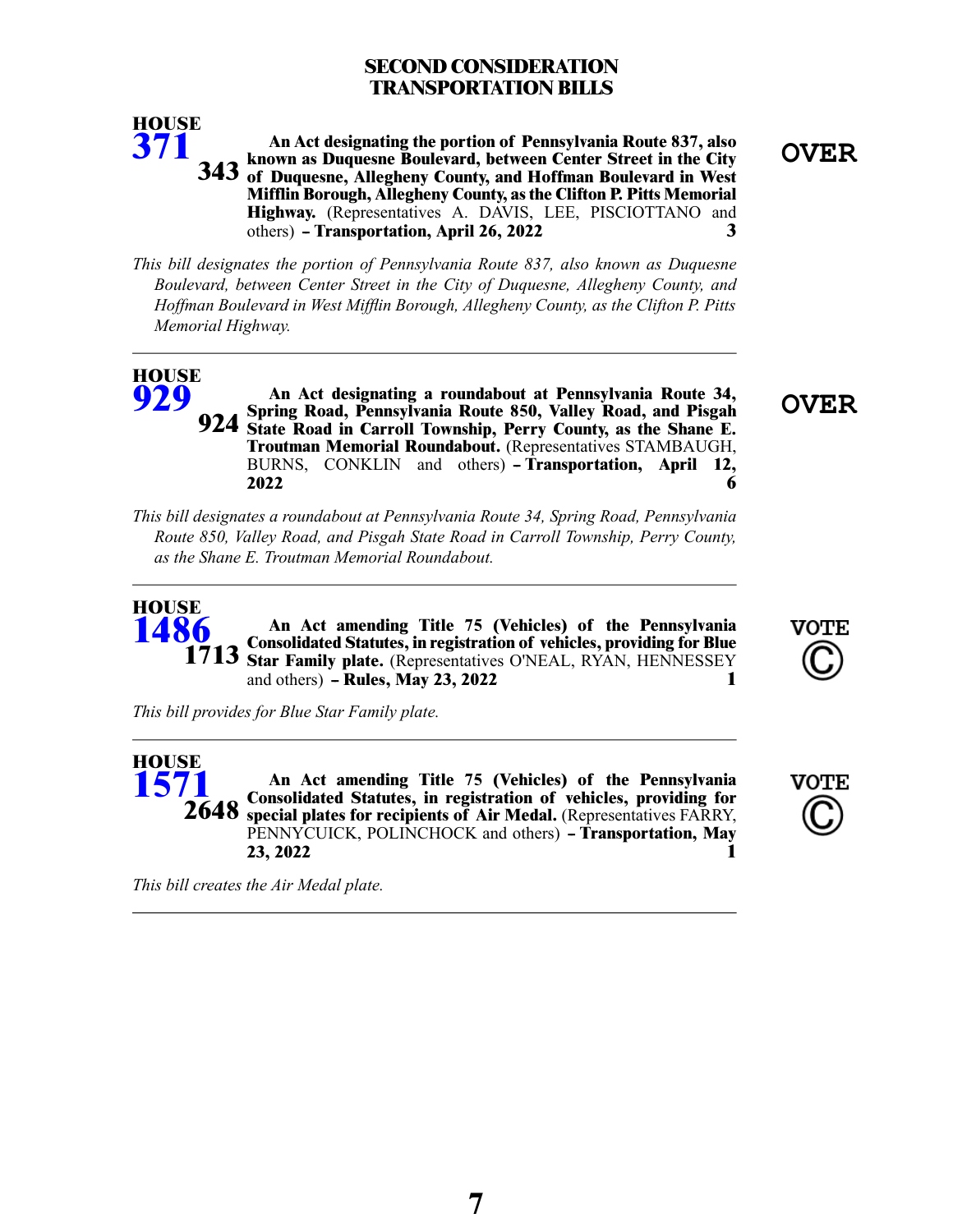# **SECOND CONSIDERATION TRANSPORTATION BILLS**



*This bill designates the portion of Pennsylvania Route 837, also known as Duquesne Boulevard, between Center Street in the City of Duquesne, Allegheny County, and Hoffman Boulevard in West Mifflin Borough, Allegheny County, as the Clifton P. Pitts Memorial Highway.*

#### **HOUSE [929](/cfdocs/billinfo/billinfo.cfm?syear=2021&sind=0&body=H&type=B&bn=929)**

**[371](/cfdocs/billinfo/billinfo.cfm?syear=2021&sind=0&body=H&type=B&bn=371)**

**OVER An Act designating a roundabout at Pennsylvania Route 34, Spring Road, Pennsylvania Route 850, Valley Road, and Pisgah State Road in Carroll Township, Perry County, as the Shane E. Troutman Memorial Roundabout.** (Representatives STAMBAUGH, BURNS, CONKLIN and others) **- Transportation, April 12, 2022 6 924**

*This bill designates a roundabout at Pennsylvania Route 34, Spring Road, Pennsylvania Route 850, Valley Road, and Pisgah State Road in Carroll Township, Perry County, as the Shane E. Troutman Memorial Roundabout.*

#### **An Act amending Title 75 (Vehicles) of the Pennsylvania Consolidated Statutes, in registration of vehicles, providing for Blue Star Family plate.** (Representatives O'NEAL, RYAN, HENNESSEY and others) **-- Rules, May 23, 2022 1 HOUSE [1486](/cfdocs/billinfo/billinfo.cfm?syear=2021&sind=0&body=H&type=B&bn=1486) 1713**

*This bill provides for Blue Star Family plate.*

**An Act amending Title 75 (Vehicles) of the Pennsylvania Consolidated Statutes, in registration of vehicles, providing for special plates for recipients of Air Medal.** (Representatives FARRY, PENNYCUICK, POLINCHOCK and others) **- Transportation, May 23, 2022 1 HOUSE [1571](/cfdocs/billinfo/billinfo.cfm?syear=2021&sind=0&body=H&type=B&bn=1571) 2648**



**VOTE** 

*This bill creates the Air Medal plate.*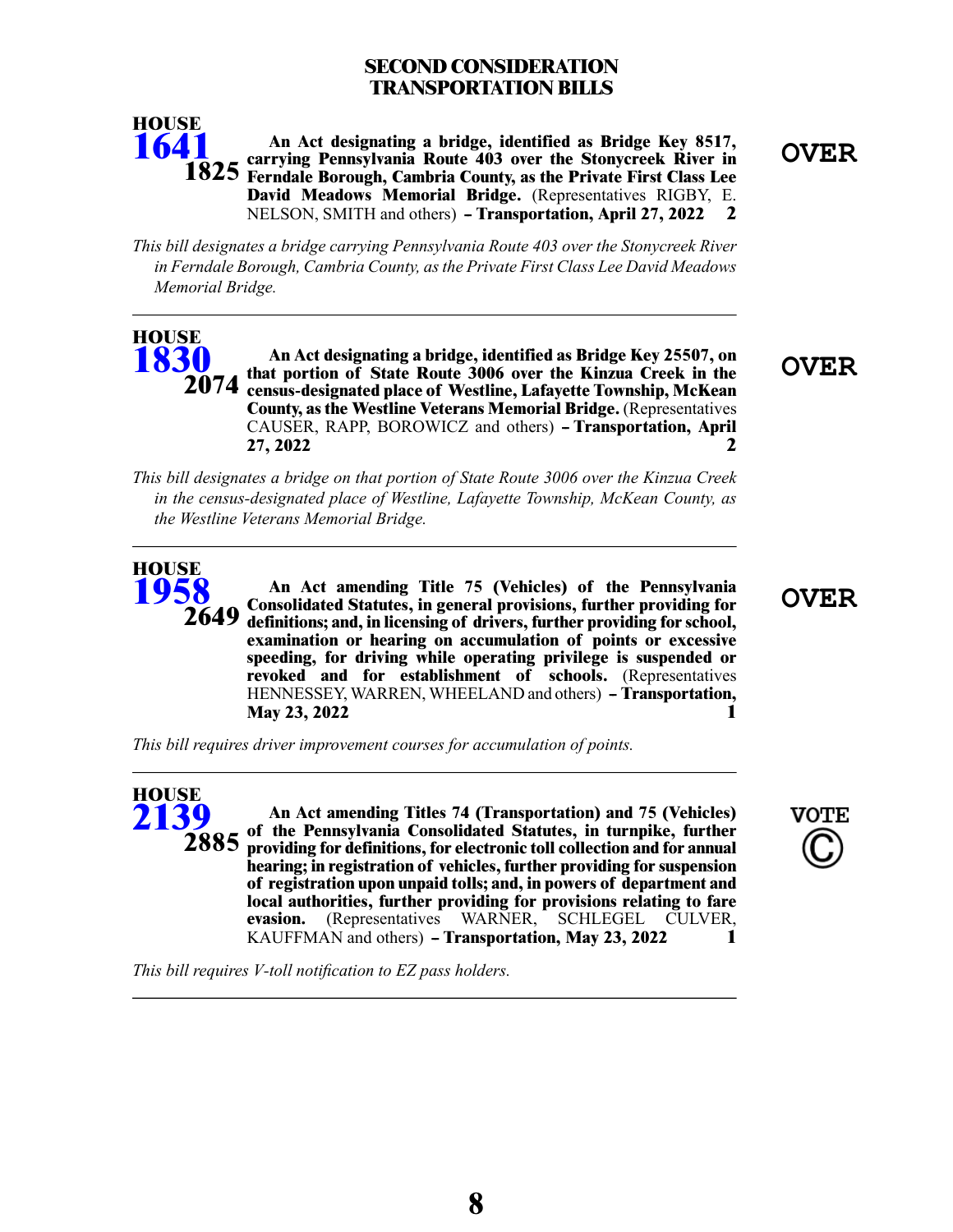# **SECOND CONSIDERATION TRANSPORTATION BILLS**

**OVER An Act designating a bridge, identified as Bridge Key 8517, carrying Pennsylvania Route 403 over the Stonycreek River in Ferndale Borough, Cambria County, as the Private First Class Lee 1825 David Meadows Memorial Bridge.** (Representatives RIGBY, E. NELSON, SMITH and others) **- Transportation, April 27, 2022** 2 **HOUSE [1641](/cfdocs/billinfo/billinfo.cfm?syear=2021&sind=0&body=H&type=B&bn=1641)**

*This bill designates a bridge carrying Pennsylvania Route 403 over the Stonycreek River in Ferndale Borough, Cambria County, asthe Private First Class Lee David Meadows Memorial Bridge.*

**OVER An Act designating a bridge, identified as Bridge Key 25507, on that portion of State Route 3006 over the Kinzua Creek in the census-designated place of Westline, Lafayette Township, McKean County, as the Westline Veterans Memorial Bridge.** (Representatives CAUSER, RAPP, BOROWICZ and others) **-- Transportation, April 27, 2022 2 HOUSE [1830](/cfdocs/billinfo/billinfo.cfm?syear=2021&sind=0&body=H&type=B&bn=1830) 2074**

*This bill designates a bridge on that portion of State Route 3006 over the Kinzua Creek in the census-designated place of Westline, Lafayette Township, McKean County, as the Westline Veterans Memorial Bridge.*

**OVER An Act amending Title 75 (Vehicles) of the Pennsylvania Consolidated Statutes, in general provisions, further providing for definitions; and, in licensing of drivers, further providing for school, examination or hearing on accumulation of points or excessive speeding, for driving while operating privilege is suspended or revoked and for establishment of schools.** (Representatives HENNESSEY, WARREN, WHEELAND and others) **-- Transportation, May 23, 2022 1 2649**

*This bill requires driver improvement courses for accumulation of points.*

**An Act amending Titles 74 (Transportation) and 75 (Vehicles) of the Pennsylvania Consolidated Statutes, in turnpike, further providing for definitions, for electronic toll collection and for annual hearing; in registration of vehicles, further providing for suspension of registration upon unpaid tolls; and, in powers of department and local authorities, further providing for provisions relating to fare evasion.** (Representatives WARNER, SCHLEGEL CULVER, KAUFFMAN and others) **- Transportation, May 23, 2022** 1 **HOUSE [2139](/cfdocs/billinfo/billinfo.cfm?syear=2021&sind=0&body=H&type=B&bn=2139) 2885**

*This bill requires V-toll notification to EZ pass holders.*

**HOUSE [1958](/cfdocs/billinfo/billinfo.cfm?syear=2021&sind=0&body=H&type=B&bn=1958)**

**VOTE**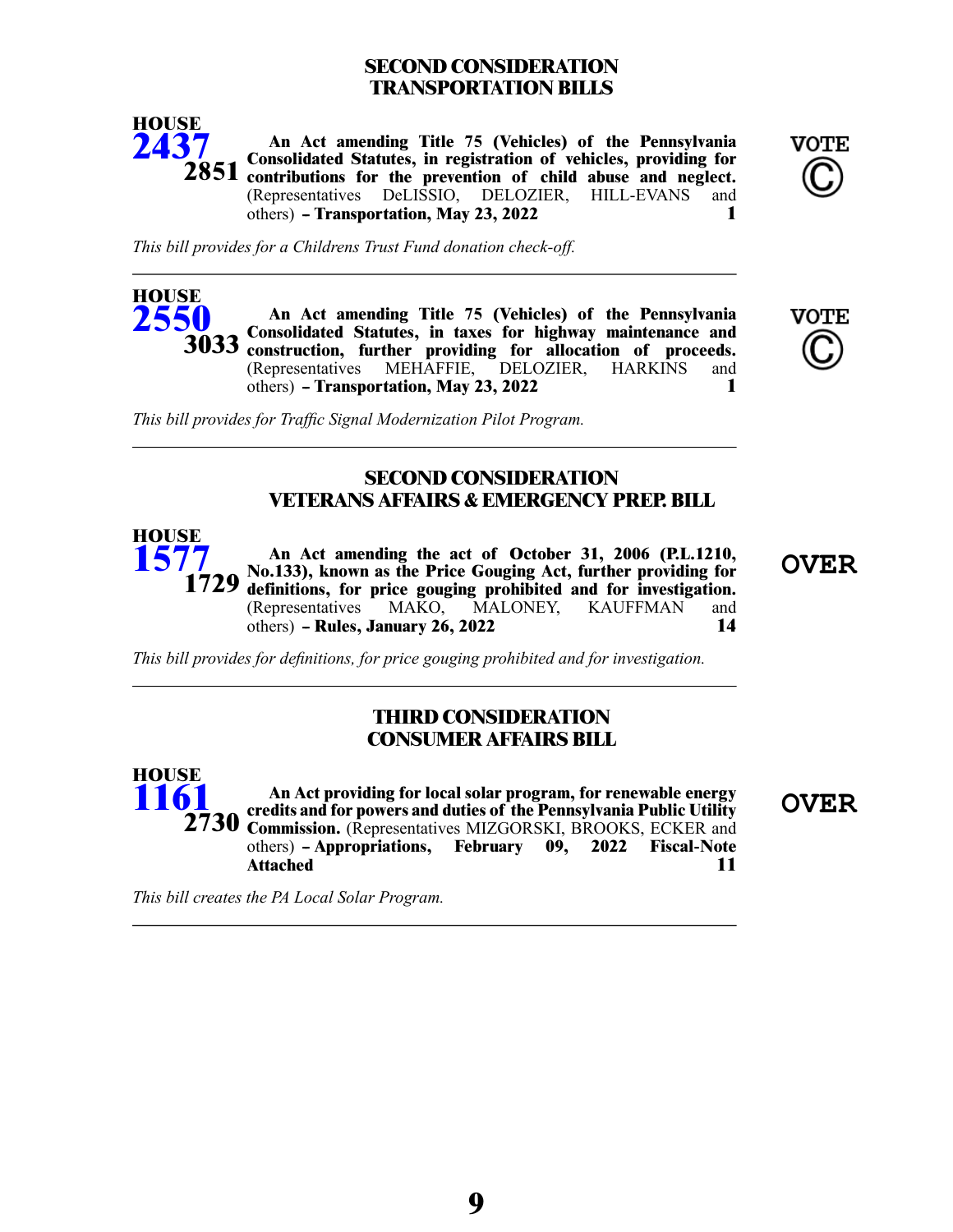# **SECOND CONSIDERATION TRANSPORTATION BILLS**



**An Act amending Title 75 (Vehicles) of the Pennsylvania Consolidated Statutes, in registration of vehicles, providing for contributions for the prevention of child abuse and neglect. 2851** (Representatives DeLISSIO, DELOZIER, HILL-EVANS and others) **-- Transportation, May 23, 2022 1**



*This bill provides for a Childrens Trust Fund donation check-off.*

**An Act amending Title 75 (Vehicles) of the Pennsylvania Consolidated Statutes, in taxes for highway maintenance and construction, further providing for allocation of proceeds. 3033** (Representatives MEHAFFIE, DELOZIER, HARKINS and others) **-- Transportation, May 23, 2022 1 HOUSE [2550](/cfdocs/billinfo/billinfo.cfm?syear=2021&sind=0&body=H&type=B&bn=2550)**



*This bill provides for Traffic Signal Modernization Pilot Program.*

#### **SECOND CONSIDERATION VETERANS AFFAIRS & EMERGENCY PREP. BILL**



An Act amending the act of October 31, 2006 (P.L.1210,<br>No.133), known as the Price Gouging Act, further providing for **CVER definitions, for price gouging prohibited and for investigation.** (Representatives MAKO, MALONEY, KAUFFMAN and others) - Rules January 26, 2022 others) **-- Rules, January 26, 2022 14**

*This bill provides for definitions, for price gouging prohibited and for investigation.*

#### **THIRD CONSIDERATION CONSUMER AFFAIRS BILL**

**OVER An Act providing for local solar program, for renewable energy credits and for powers and duties of the Pennsylvania Public Utility Commission.** (Representatives MIZGORSKI, BROOKS, ECKER and **2730** others) **-- Appropriations, February 09, 2022 Fiscal-Note Attached 11 HOUSE [1161](/cfdocs/billinfo/billinfo.cfm?syear=2021&sind=0&body=H&type=B&bn=1161)**

*This bill creates the PA Local Solar Program.*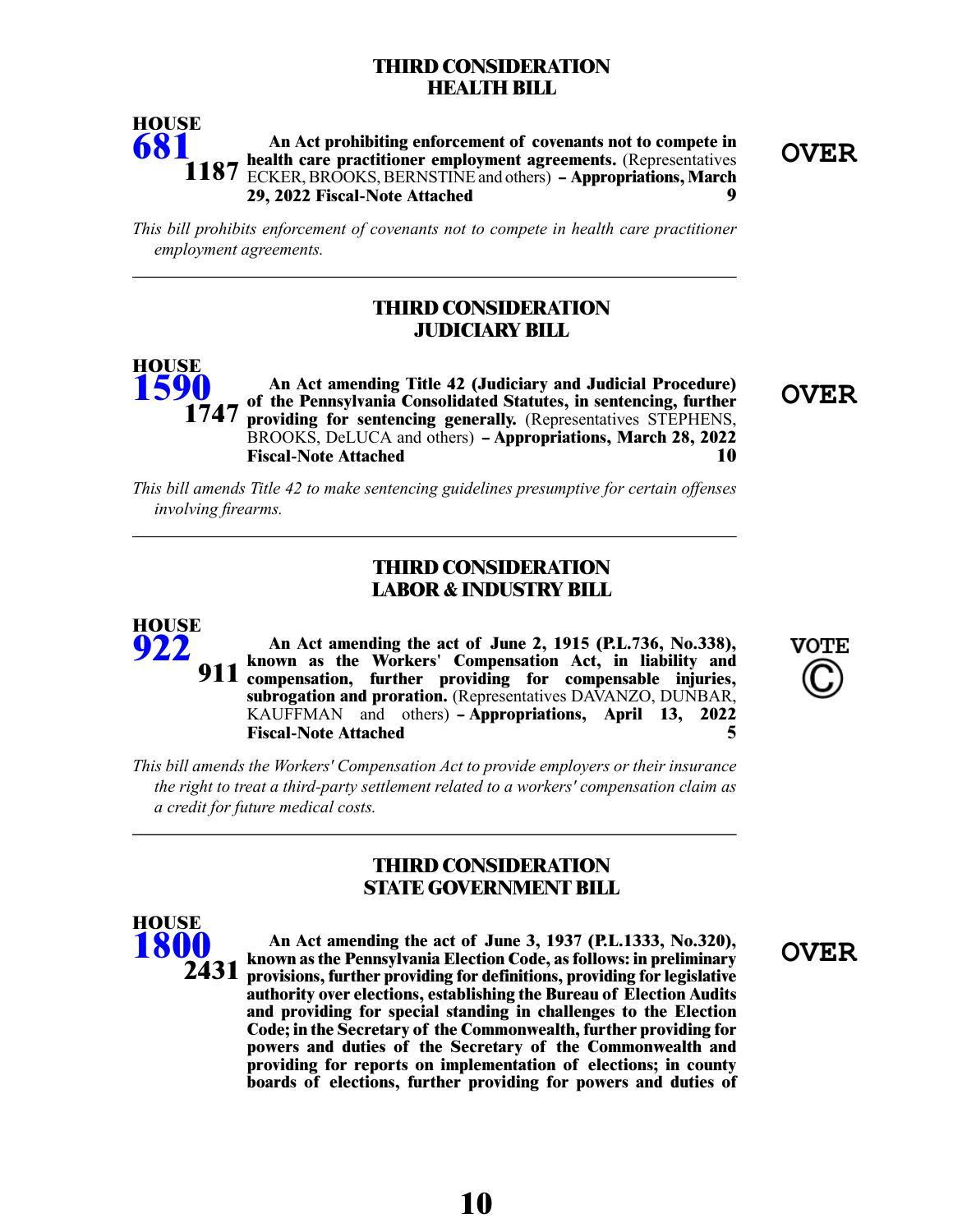#### **THIRD CONSIDERATION HEALTH BILL**



*This bill prohibits enforcement of covenants not to compete in health care practitioner employment agreements.*

#### **THIRD CONSIDERATION JUDICIARY BILL**

**OVER An Act amending Title 42 (Judiciary and Judicial Procedure) of the Pennsylvania Consolidated Statutes, in sentencing, further providing for sentencing generally.** (Representatives STEPHENS, BROOKS, DeLUCA and others) **- Appropriations, March 28, 2022 Fiscal-Note Attached 10 HOUSE [1590](/cfdocs/billinfo/billinfo.cfm?syear=2021&sind=0&body=H&type=B&bn=1590) 1747**

*This bill amends Title 42 to make sentencing guidelines presumptive for certain offenses involving firearms.*

#### **THIRD CONSIDERATION LABOR & INDUSTRY BILL**

**An Act amending the act of June 2, 1915 (P.L.736, No.338), known as the Workers' Compensation Act, in liability and compensation, further providing for compensable injuries, subrogation and proration.** (Representatives DAVANZO, DUNBAR, KAUFFMAN and others) **- Appropriations, April 13, 2022 Fiscal-Note Attached 5 911**



*This bill amends the Workers' Compensation Act to provide employers or their insurance the right to treat a third-party settlement related to a workers' compensation claim as a credit for future medical costs.*

#### **THIRD CONSIDERATION STATE GOVERNMENT BILL**



**HOUSE [922](/cfdocs/billinfo/billinfo.cfm?syear=2021&sind=0&body=H&type=B&bn=922)**

> **OVER An Act amending the act of June 3, 1937 (P.L.1333, No.320), known as the Pennsylvania Election Code, as follows: in preliminary provisions, further providing for definitions, providing for legislative authority over elections, establishing the Bureau of Election Audits and providing for special standing in challenges to the Election Code; in the Secretary of the Commonwealth, further providing for powers and duties of the Secretary of the Commonwealth and providing for reports on implementation of elections; in county boards of elections, further providing for powers and duties of**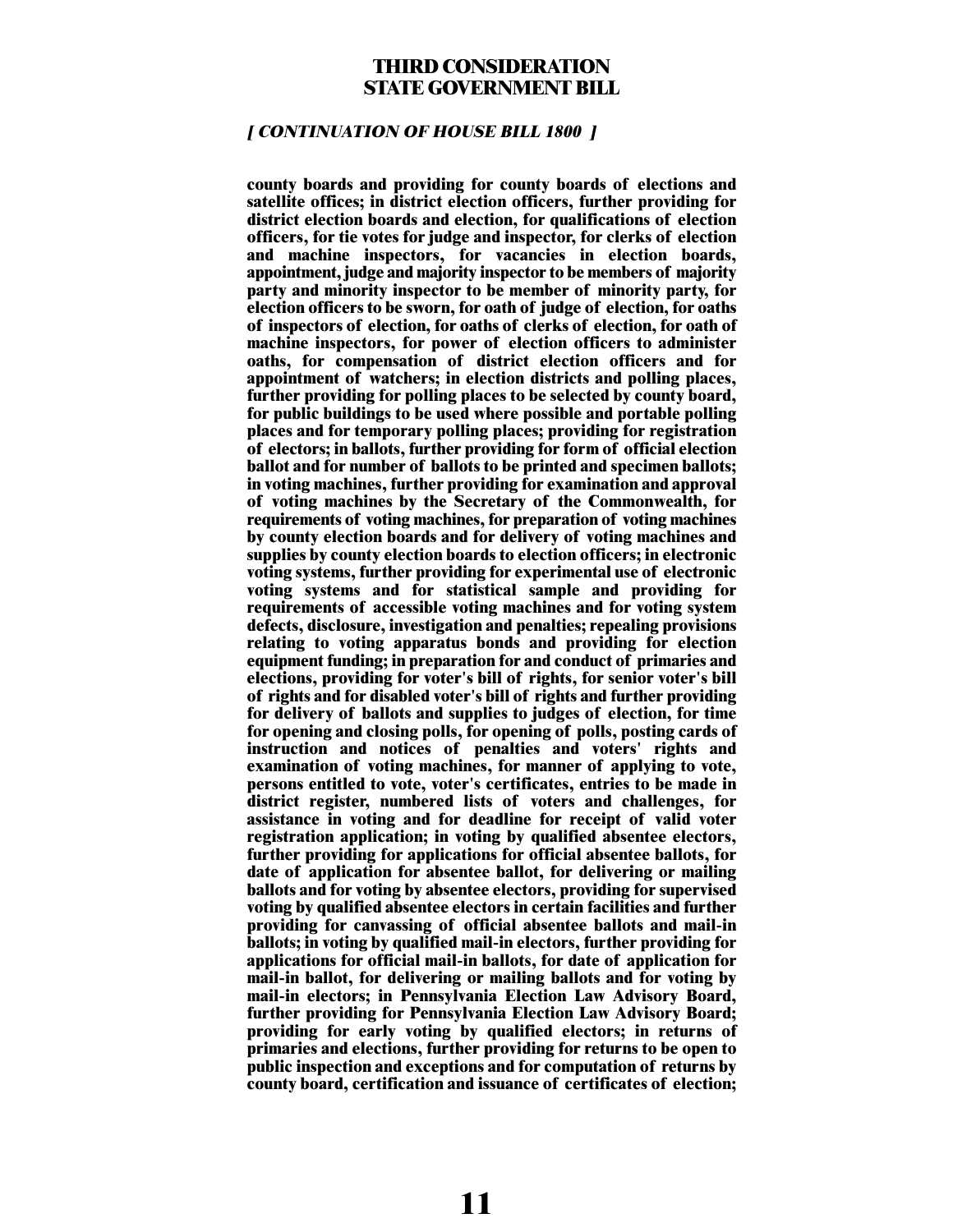#### **THIRD CONSIDERATION STATE GOVERNMENT BILL**

#### **[ CONTINUATION OF HOUSE BILL 1800 ]**

**county boards and providing for county boards of elections and satellite offices; in district election officers, further providing for district election boards and election, for qualifications of election officers, for tie votes for judge and inspector, for clerks of election and machine inspectors, for vacancies in election boards, appointment, judge and majority inspector to be members of majority party and minority inspector to be member of minority party, for election officers to be sworn, for oath of judge of election, for oaths of inspectors of election, for oaths of clerks of election, for oath of machine inspectors, for power of election officers to administer oaths, for compensation of district election officers and for appointment of watchers; in election districts and polling places, further providing for polling places to be selected by county board, for public buildings to be used where possible and portable polling places and for temporary polling places; providing for registration of electors; in ballots, further providing for form of official election ballot and for number of ballots to be printed and specimen ballots; in voting machines, further providing for examination and approval of voting machines by the Secretary of the Commonwealth, for requirements of voting machines, for preparation of voting machines by county election boards and for delivery of voting machines and supplies by county election boards to election officers; in electronic voting systems, further providing for experimental use of electronic voting systems and for statistical sample and providing for requirements of accessible voting machines and for voting system defects, disclosure, investigation and penalties; repealing provisions relating to voting apparatus bonds and providing for election equipment funding; in preparation for and conduct of primaries and elections, providing for voter's bill of rights, for senior voter's bill of rights and for disabled voter's bill of rights and further providing for delivery of ballots and supplies to judges of election, for time for opening and closing polls, for opening of polls, posting cards of instruction and notices of penalties and voters' rights and examination of voting machines, for manner of applying to vote, persons entitled to vote, voter's certificates, entries to be made in district register, numbered lists of voters and challenges, for assistance in voting and for deadline for receipt of valid voter registration application; in voting by qualified absentee electors, further providing for applications for official absentee ballots, for date of application for absentee ballot, for delivering or mailing ballots and for voting by absentee electors, providing for supervised voting by qualified absentee electors in certain facilities and further providing for canvassing of official absentee ballots and mail-in ballots; in voting by qualified mail-in electors, further providing for applications for official mail-in ballots, for date of application for mail-in ballot, for delivering or mailing ballots and for voting by mail-in electors; in Pennsylvania Election Law Advisory Board, further providing for Pennsylvania Election Law Advisory Board; providing for early voting by qualified electors; in returns of primaries and elections, further providing for returns to be open to public inspection and exceptions and for computation of returns by county board, certification and issuance of certificates of election;**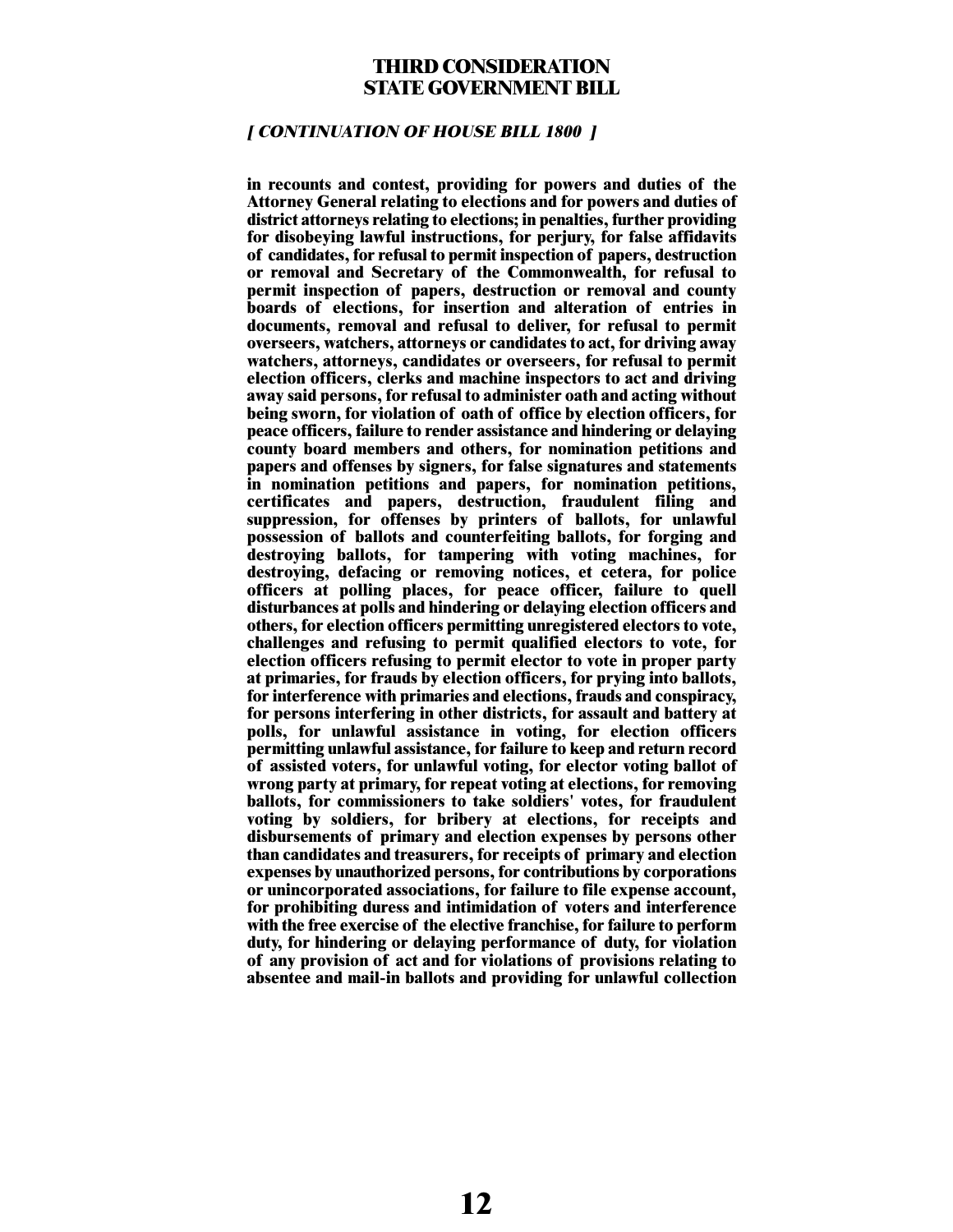#### **THIRD CONSIDERATION STATE GOVERNMENT BILL**

#### **[ CONTINUATION OF HOUSE BILL 1800 ]**

**in recounts and contest, providing for powers and duties of the Attorney General relating to elections and for powers and duties of district attorneys relating to elections; in penalties, further providing for disobeying lawful instructions, for perjury, for false affidavits of candidates, for refusal to permit inspection of papers, destruction or removal and Secretary of the Commonwealth, for refusal to permit inspection of papers, destruction or removal and county boards of elections, for insertion and alteration of entries in documents, removal and refusal to deliver, for refusal to permit overseers, watchers, attorneys or candidates to act, for driving away watchers, attorneys, candidates or overseers, for refusal to permit election officers, clerks and machine inspectors to act and driving away said persons, for refusal to administer oath and acting without being sworn, for violation of oath of office by election officers, for peace officers, failure to render assistance and hindering or delaying county board members and others, for nomination petitions and papers and offenses by signers, for false signatures and statements in nomination petitions and papers, for nomination petitions, certificates and papers, destruction, fraudulent filing and suppression, for offenses by printers of ballots, for unlawful possession of ballots and counterfeiting ballots, for forging and destroying ballots, for tampering with voting machines, for destroying, defacing or removing notices, et cetera, for police officers at polling places, for peace officer, failure to quell disturbances at polls and hindering or delaying election officers and others, for election officers permitting unregistered electors to vote, challenges and refusing to permit qualified electors to vote, for election officers refusing to permit elector to vote in proper party at primaries, for frauds by election officers, for prying into ballots, for interference with primaries and elections, frauds and conspiracy, for persons interfering in other districts, for assault and battery at polls, for unlawful assistance in voting, for election officers permitting unlawful assistance, for failure to keep and return record of assisted voters, for unlawful voting, for elector voting ballot of wrong party at primary, for repeat voting at elections, for removing ballots, for commissioners to take soldiers' votes, for fraudulent voting by soldiers, for bribery at elections, for receipts and disbursements of primary and election expenses by persons other than candidates and treasurers, for receipts of primary and election expenses by unauthorized persons, for contributions by corporations or unincorporated associations, for failure to file expense account, for prohibiting duress and intimidation of voters and interference with the free exercise of the elective franchise, for failure to perform duty, for hindering or delaying performance of duty, for violation of any provision of act and for violations of provisions relating to absentee and mail-in ballots and providing for unlawful collection**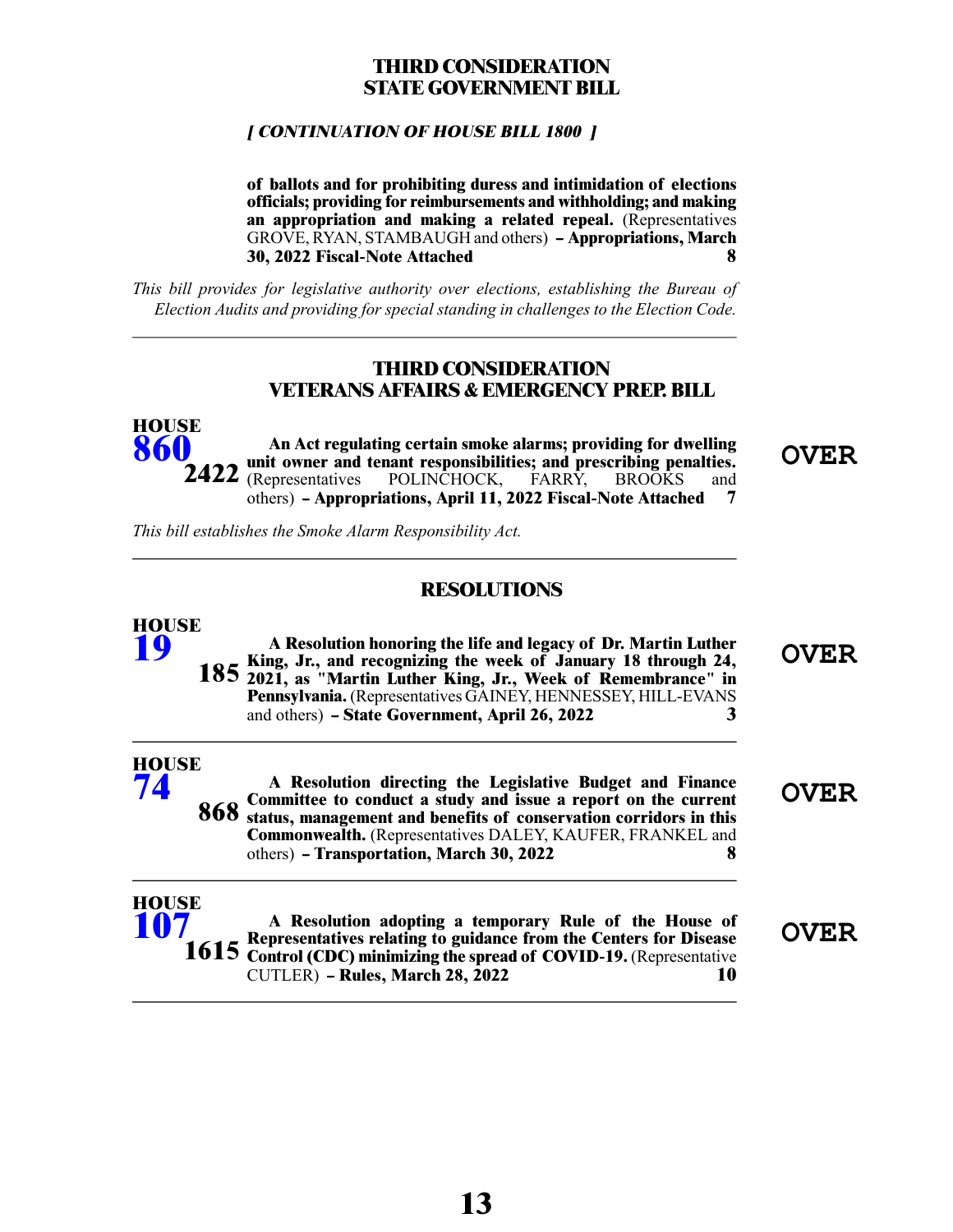### **THIRD CONSIDERATION STATE GOVERNMENT BILL**

#### **[ CONTINUATION OF HOUSE BILL 1800 ]**

**of ballots and for prohibiting duress and intimidation of elections officials; providing for reimbursements and withholding; and making an appropriation and making a related repeal.** (Representatives GROVE, RYAN, STAMBAUGH and others) **- Appropriations, March**<br>**8 30, 2022 Fiscal-Note Attached 8**

*This bill provides for legislative authority over elections, establishing the Bureau of Election Audits and providing for special standing in challenges to the Election Code.*

#### **THIRD CONSIDERATION VETERANS AFFAIRS & EMERGENCY PREP. BILL**

**OVER An Act regulating certain smoke alarms; providing for dwelling unit owner and tenant responsibilities; and prescribing penalties. 2422** (Representatives POLINCHOCK, FARRY, BROOKS and others) **-- Appropriations, April 11, 2022 Fiscal-Note Attached 7 HOUSE [860](/cfdocs/billinfo/billinfo.cfm?syear=2021&sind=0&body=H&type=B&bn=860)**

*This bill establishes the Smoke Alarm Responsibility Act.*

## **RESOLUTIONS**

| <b>HOUSE</b><br>19 | A Resolution honoring the life and legacy of Dr. Martin Luther<br>185 King, Jr., and recognizing the week of January 18 through 24, 185 2021, as "Martin Luther King, Jr., Week of Remembrance" in<br>Pennsylvania. (Representatives GAINEY, HENNESSEY, HILL-EVANS<br>and others) - State Government, April 26, 2022   | OVER        |
|--------------------|------------------------------------------------------------------------------------------------------------------------------------------------------------------------------------------------------------------------------------------------------------------------------------------------------------------------|-------------|
| <b>HOUSE</b><br>74 | A Resolution directing the Legislative Budget and Finance<br>868 Committee to conduct a study and issue a report on the current<br>868 status, management and benefits of conservation corridors in this<br>Commonwealth. (Representatives DALEY, KAUFER, FRANKEL and<br>others) - Transportation, March 30, 2022<br>x | <b>OVER</b> |
| <b>HOUSE</b>       | A Resolution adopting a temporary Rule of the House of<br>Depresentatives relating to guidance from the Centers for Disease                                                                                                                                                                                            |             |

**OVER A Resolution adopting a temporary Rule of the House of Representatives relating to guidance from the Centers for Disease 1615** Control (CDC) minimizing the spread of COVID-19. (Representative CUTLER) **-- Rules, March 28, 2022 10**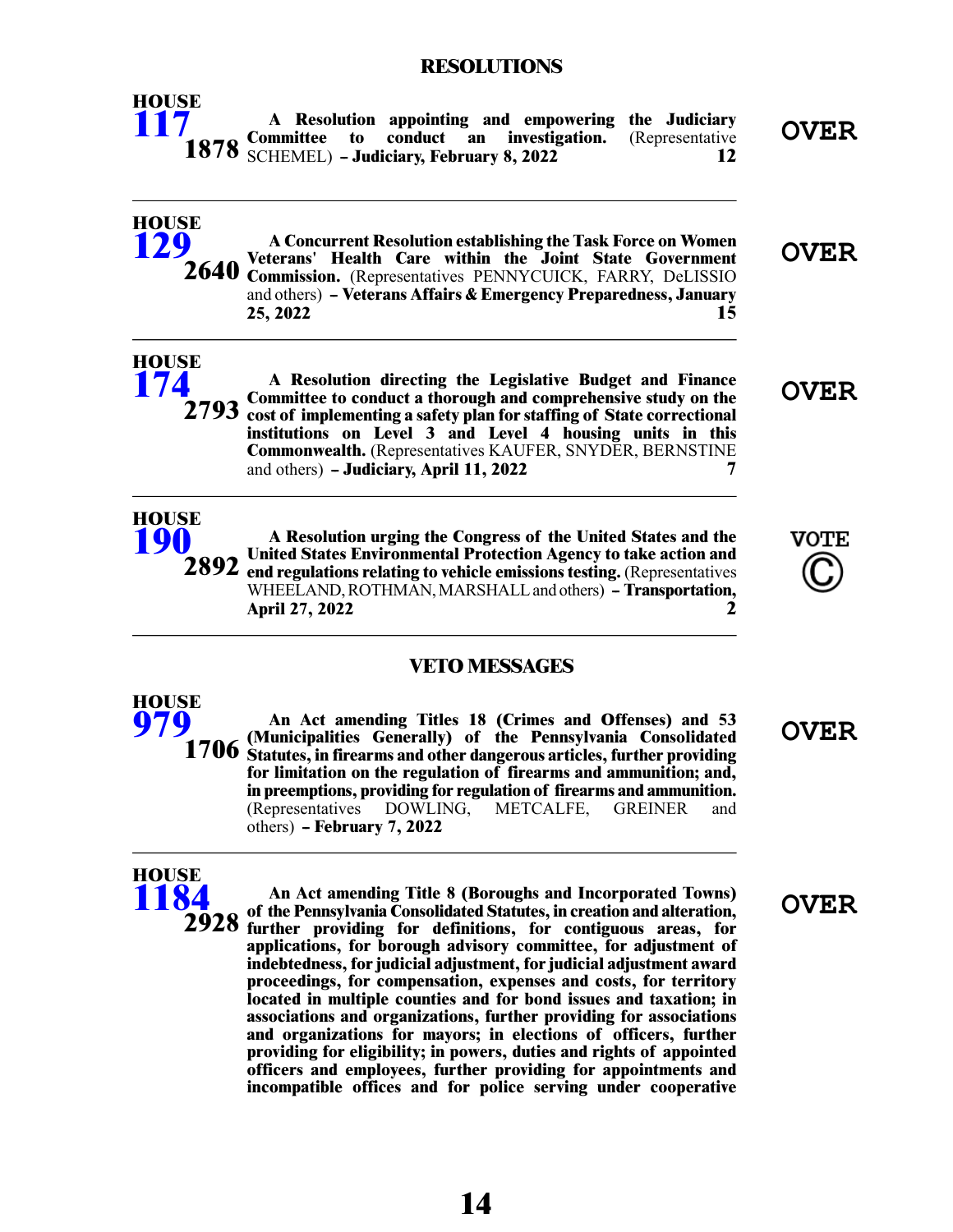#### **RESOLUTIONS**



#### **VETO MESSAGES**

**OVER An Act amending Titles 18 (Crimes and Offenses) and 53 (Municipalities Generally) of the Pennsylvania Consolidated 1706** Statutes, in firearms and other dangerous articles, further providing **for limitation on the regulation of firearms and ammunition; and, in preemptions, providing for regulation of firearms and ammunition.** (Representatives DOWLING, METCALFE, GREINER others) **-- February 7, 2022**



**HOUSE [979](/cfdocs/billinfo/billinfo.cfm?syear=2021&sind=0&body=H&type=B&bn=979)**

> **OVER An Act amending Title 8 (Boroughs and Incorporated Towns) of the Pennsylvania Consolidated Statutes, in creation and alteration, further providing for definitions, for contiguous areas, for 2928 applications, for borough advisory committee, for adjustment of indebtedness, for judicial adjustment, for judicial adjustment award proceedings, for compensation, expenses and costs, for territory located in multiple counties and for bond issues and taxation; in associations and organizations, further providing for associations and organizations for mayors; in elections of officers, further providing for eligibility; in powers, duties and rights of appointed officers and employees, further providing for appointments and incompatible offices and for police serving under cooperative**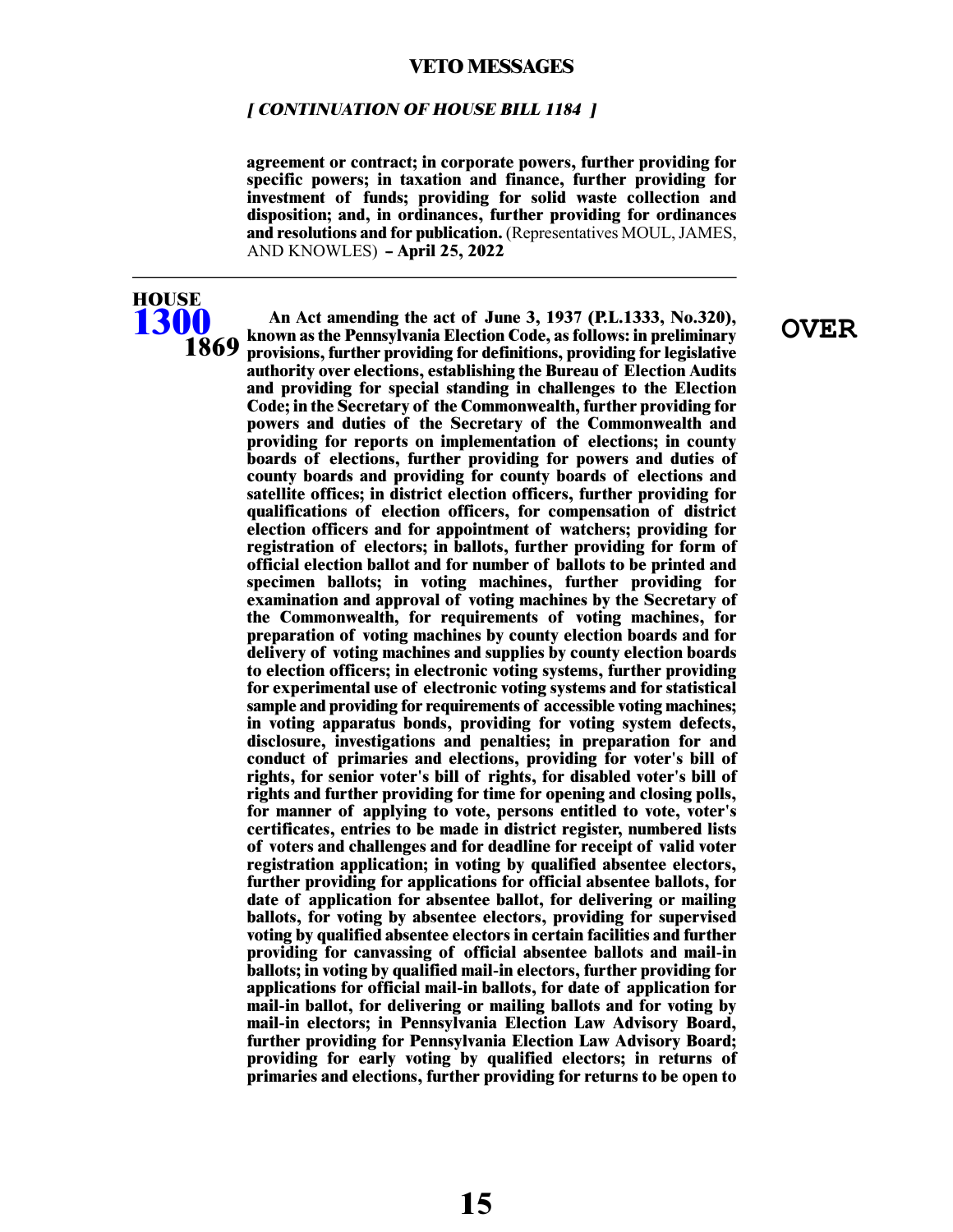#### **[ CONTINUATION OF HOUSE BILL 1184 ]**

**agreement or contract; in corporate powers, further providing for specific powers; in taxation and finance, further providing for investment of funds; providing for solid waste collection and disposition; and, in ordinances, further providing for ordinances** and resolutions and for publication. (Representatives MOUL, JAMES, AND KNOWLES) **-- April 25, 2022**

## **HOUSE [1300](/cfdocs/billinfo/billinfo.cfm?syear=2021&sind=0&body=H&type=B&bn=1300) 1869**

**OVER An Act amending the act of June 3, 1937 (P.L.1333, No.320), known as the Pennsylvania Election Code, as follows: in preliminary provisions, further providing for definitions, providing for legislative authority over elections, establishing the Bureau of Election Audits and providing for special standing in challenges to the Election Code; in the Secretary of the Commonwealth, further providing for powers and duties of the Secretary of the Commonwealth and providing for reports on implementation of elections; in county boards of elections, further providing for powers and duties of county boards and providing for county boards of elections and satellite offices; in district election officers, further providing for qualifications of election officers, for compensation of district election officers and for appointment of watchers; providing for registration of electors; in ballots, further providing for form of official election ballot and for number of ballots to be printed and specimen ballots; in voting machines, further providing for examination and approval of voting machines by the Secretary of the Commonwealth, for requirements of voting machines, for preparation of voting machines by county election boards and for delivery of voting machines and supplies by county election boards to election officers; in electronic voting systems, further providing for experimental use of electronic voting systems and for statistical sample and providing for requirements of accessible voting machines; in voting apparatus bonds, providing for voting system defects, disclosure, investigations and penalties; in preparation for and conduct of primaries and elections, providing for voter's bill of rights, for senior voter's bill of rights, for disabled voter's bill of rights and further providing for time for opening and closing polls, for manner of applying to vote, persons entitled to vote, voter's certificates, entries to be made in district register, numbered lists of voters and challenges and for deadline for receipt of valid voter registration application; in voting by qualified absentee electors, further providing for applications for official absentee ballots, for date of application for absentee ballot, for delivering or mailing ballots, for voting by absentee electors, providing for supervised voting by qualified absentee electors in certain facilities and further providing for canvassing of official absentee ballots and mail-in ballots; in voting by qualified mail-in electors, further providing for applications for official mail-in ballots, for date of application for mail-in ballot, for delivering or mailing ballots and for voting by mail-in electors; in Pennsylvania Election Law Advisory Board, further providing for Pennsylvania Election Law Advisory Board; providing for early voting by qualified electors; in returns of primaries and elections, further providing for returns to be open to**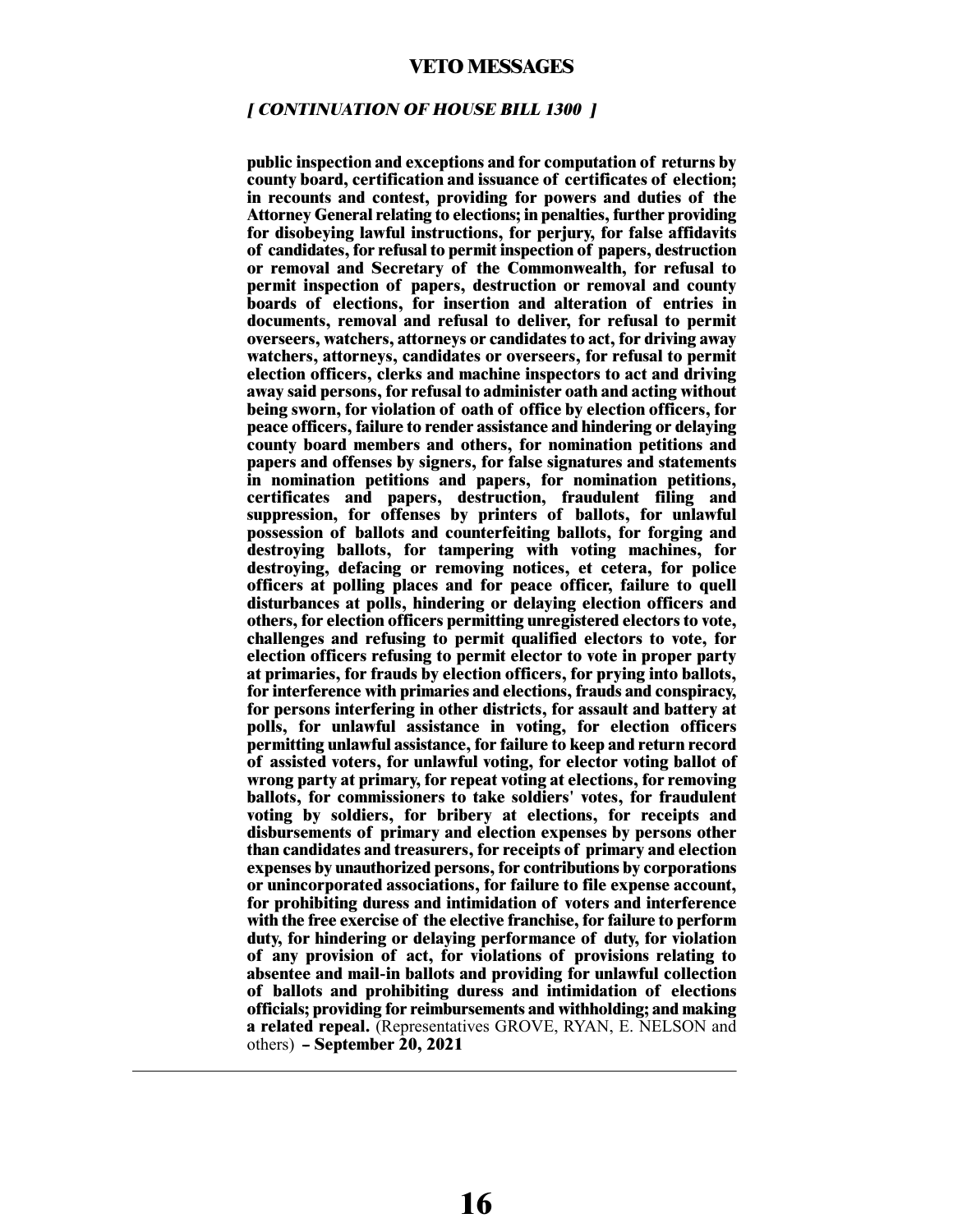#### **[ CONTINUATION OF HOUSE BILL 1300 ]**

**public inspection and exceptions and for computation of returns by county board, certification and issuance of certificates of election; in recounts and contest, providing for powers and duties of the Attorney General relating to elections; in penalties, further providing for disobeying lawful instructions, for perjury, for false affidavits of candidates, for refusal to permit inspection of papers, destruction or removal and Secretary of the Commonwealth, for refusal to permit inspection of papers, destruction or removal and county boards of elections, for insertion and alteration of entries in documents, removal and refusal to deliver, for refusal to permit overseers, watchers, attorneys or candidates to act, for driving away watchers, attorneys, candidates or overseers, for refusal to permit election officers, clerks and machine inspectors to act and driving away said persons, for refusal to administer oath and acting without being sworn, for violation of oath of office by election officers, for peace officers, failure to render assistance and hindering or delaying county board members and others, for nomination petitions and papers and offenses by signers, for false signatures and statements in nomination petitions and papers, for nomination petitions, certificates and papers, destruction, fraudulent filing and suppression, for offenses by printers of ballots, for unlawful possession of ballots and counterfeiting ballots, for forging and destroying ballots, for tampering with voting machines, for destroying, defacing or removing notices, et cetera, for police officers at polling places and for peace officer, failure to quell disturbances at polls, hindering or delaying election officers and others, for election officers permitting unregistered electors to vote, challenges and refusing to permit qualified electors to vote, for election officers refusing to permit elector to vote in proper party at primaries, for frauds by election officers, for prying into ballots, for interference with primaries and elections, frauds and conspiracy, for persons interfering in other districts, for assault and battery at polls, for unlawful assistance in voting, for election officers permitting unlawful assistance, for failure to keep and return record of assisted voters, for unlawful voting, for elector voting ballot of wrong party at primary, for repeat voting at elections, for removing ballots, for commissioners to take soldiers' votes, for fraudulent voting by soldiers, for bribery at elections, for receipts and disbursements of primary and election expenses by persons other than candidates and treasurers, for receipts of primary and election expenses by unauthorized persons, for contributions by corporations or unincorporated associations, for failure to file expense account, for prohibiting duress and intimidation of voters and interference with the free exercise of the elective franchise, for failure to perform duty, for hindering or delaying performance of duty, for violation of any provision of act, for violations of provisions relating to absentee and mail-in ballots and providing for unlawful collection of ballots and prohibiting duress and intimidation of elections officials; providing for reimbursements and withholding; and making a related repeal.** (Representatives GROVE, RYAN, E. NELSON and others) **-- September 20, 2021**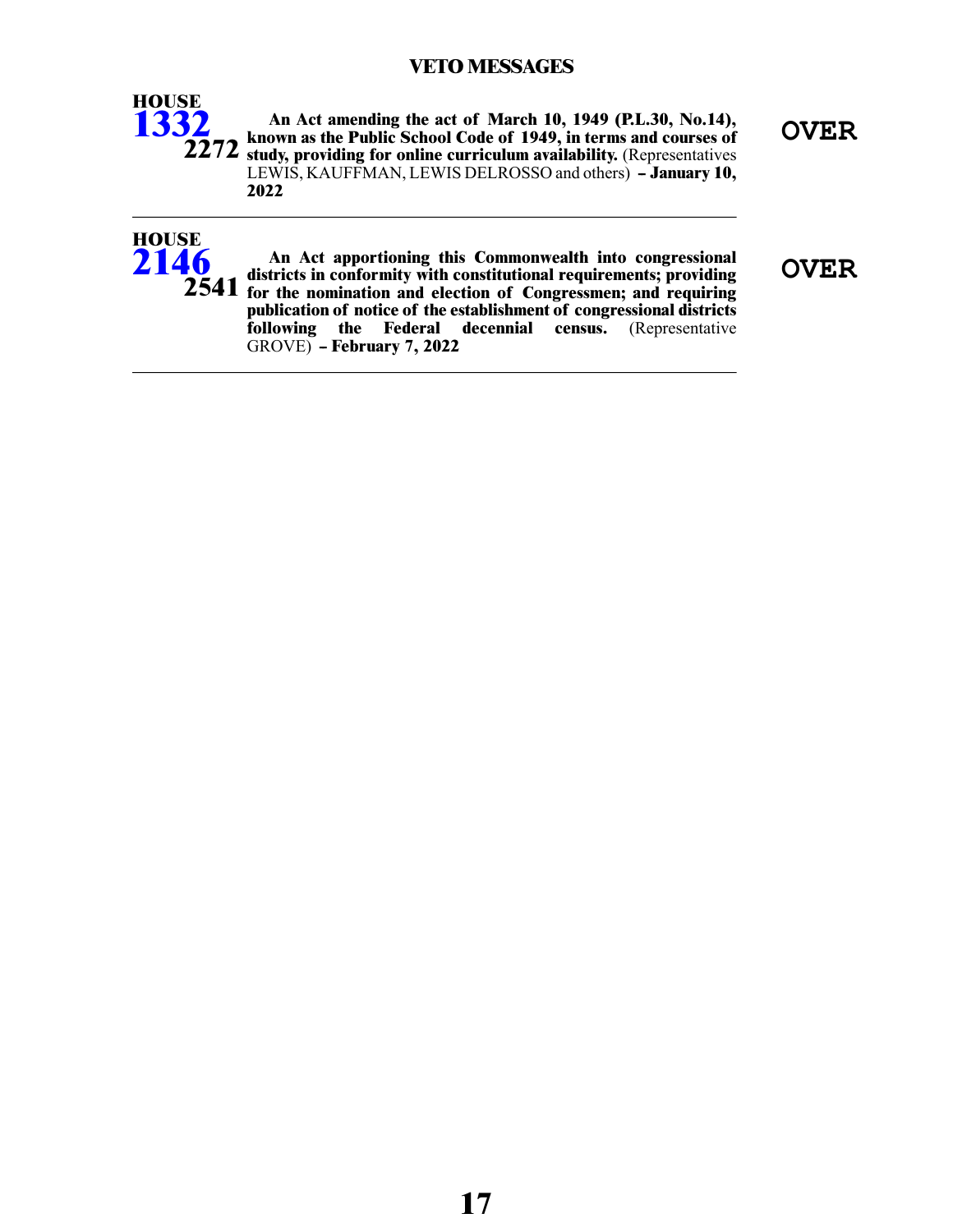## **VETO MESSAGES**



**OVER An Act amending the act of March 10, 1949 (P.L.30, No.14), known as the Public School Code of 1949, in terms and courses of** 2272 study, providing for online curriculum availability. (Representatives LEWIS, KAUFFMAN, LEWIS DELROSSO and others) **-- January 10, 2022**



**OVER An Act apportioning this Commonwealth into congressional districts in conformity with constitutional requirements; providing for the nomination and election of Congressmen; and requiring 2541 publication of notice of the establishment of congressional districts following the Federal decennial census.** (Representative GROVE) **-- February 7, 2022**